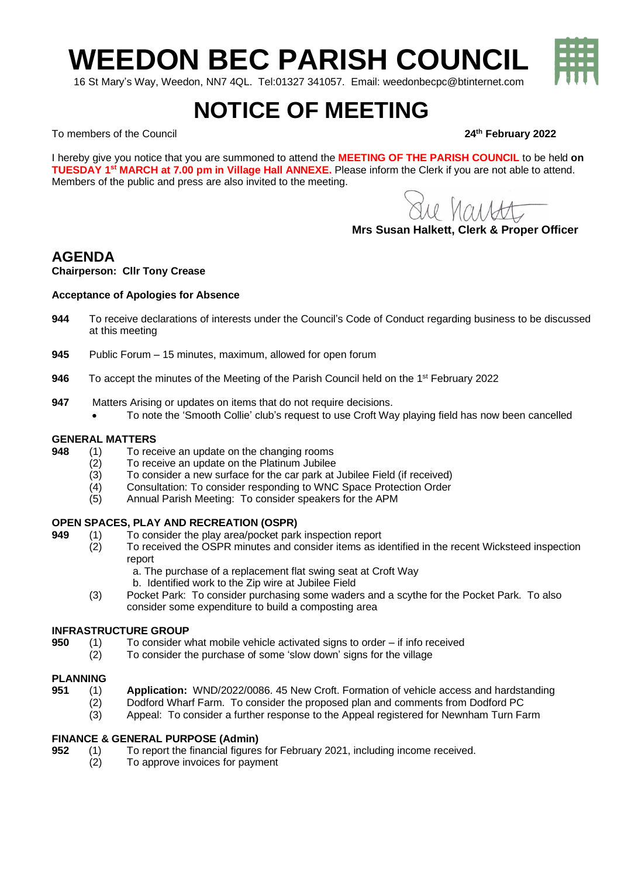**WEEDON BEC PARISH COUNCIL**

16 St Mary's Way, Weedon, NN7 4QL. Tel:01327 341057. Email: weedonbecpc@btinternet.com

# **NOTICE OF MEETING**

To members of the Council **24th February 2022**

I hereby give you notice that you are summoned to attend the **MEETING OF THE PARISH COUNCIL** to be held **on TUESDAY 1 st MARCH at 7.00 pm in Village Hall ANNEXE.** Please inform the Clerk if you are not able to attend. Members of the public and press are also invited to the meeting.

Le hautt

**Mrs Susan Halkett, Clerk & Proper Officer**

## **AGENDA**

#### **Chairperson: Cllr Tony Crease**

#### **Acceptance of Apologies for Absence**

- **944** To receive declarations of interests under the Council's Code of Conduct regarding business to be discussed at this meeting
- **945** Public Forum 15 minutes, maximum, allowed for open forum
- 946 To accept the minutes of the Meeting of the Parish Council held on the 1<sup>st</sup> February 2022
- **947** Matters Arising or updates on items that do not require decisions. • To note the 'Smooth Collie' club's request to use Croft Way playing field has now been cancelled

## GENERAL MATTERS<br>948 (1) To rec

- **948** (1) To receive an update on the changing rooms
	- (2) To receive an update on the Platinum Jubilee
		- (3) To consider a new surface for the car park at Jubilee Field (if received)
	- (4) Consultation: To consider responding to WNC Space Protection Order<br>(5) Annual Parish Meeting: To consider speakers for the APM
	- Annual Parish Meeting: To consider speakers for the APM

#### **OPEN SPACES, PLAY AND RECREATION (OSPR)**

- **949** (1) To consider the play area/pocket park inspection report
	- To received the OSPR minutes and consider items as identified in the recent Wicksteed inspection report
		- a. The purchase of a replacement flat swing seat at Croft Way
		- b. Identified work to the Zip wire at Jubilee Field
	- (3) Pocket Park: To consider purchasing some waders and a scythe for the Pocket Park. To also consider some expenditure to build a composting area

#### **INFRASTRUCTURE GROUP**

- **950** (1) To consider what mobile vehicle activated signs to order if info received
	- (2) To consider the purchase of some 'slow down' signs for the village

#### **PLANNING**

- **951** (1) **Application:** WND/2022/0086. 45 New Croft. Formation of vehicle access and hardstanding
	- (2) Dodford Wharf Farm. To consider the proposed plan and comments from Dodford PC
	- (3) Appeal: To consider a further response to the Appeal registered for Newnham Turn Farm

#### **FINANCE & GENERAL PURPOSE (Admin)**

- **952** (1) To report the financial figures for February 2021, including income received.
	- (2) To approve invoices for payment